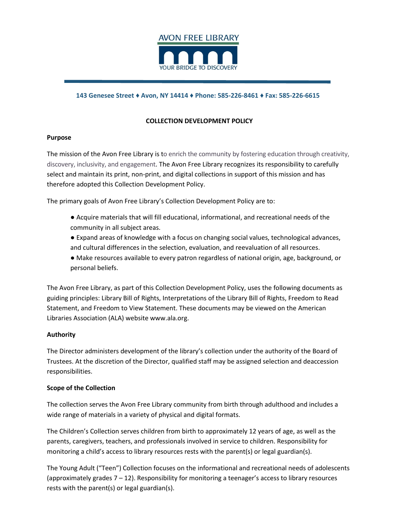

### **143 Genesee Street ♦ Avon, NY 14414 ♦ Phone: 585-226-8461 ♦ Fax: 585-226-6615**

# **COLLECTION DEVELOPMENT POLICY**

#### **Purpose**

The mission of the Avon Free Library is to enrich the community by fostering education through creativity, discovery, inclusivity, and engagement. The Avon Free Library recognizes its responsibility to carefully select and maintain its print, non-print, and digital collections in support of this mission and has therefore adopted this Collection Development Policy.

The primary goals of Avon Free Library's Collection Development Policy are to:

- Acquire materials that will fill educational, informational, and recreational needs of the community in all subject areas.
- Expand areas of knowledge with a focus on changing social values, technological advances, and cultural differences in the selection, evaluation, and reevaluation of all resources.
- Make resources available to every patron regardless of national origin, age, background, or personal beliefs.

The Avon Free Library, as part of this Collection Development Policy, uses the following documents as guiding principles: Library Bill of Rights, Interpretations of the Library Bill of Rights, Freedom to Read Statement, and Freedom to View Statement. These documents may be viewed on the American Libraries Association (ALA) website www.ala.org.

### **Authority**

The Director administers development of the library's collection under the authority of the Board of Trustees. At the discretion of the Director, qualified staff may be assigned selection and deaccession responsibilities.

#### **Scope of the Collection**

The collection serves the Avon Free Library community from birth through adulthood and includes a wide range of materials in a variety of physical and digital formats.

The Children's Collection serves children from birth to approximately 12 years of age, as well as the parents, caregivers, teachers, and professionals involved in service to children. Responsibility for monitoring a child's access to library resources rests with the parent(s) or legal guardian(s).

The Young Adult ("Teen") Collection focuses on the informational and recreational needs of adolescents (approximately grades 7 – 12). Responsibility for monitoring a teenager's access to library resources rests with the parent(s) or legal guardian(s).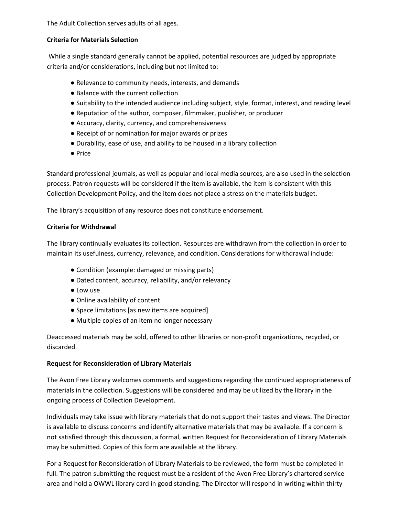The Adult Collection serves adults of all ages.

# **Criteria for Materials Selection**

While a single standard generally cannot be applied, potential resources are judged by appropriate criteria and/or considerations, including but not limited to:

- Relevance to community needs, interests, and demands
- Balance with the current collection
- Suitability to the intended audience including subject, style, format, interest, and reading level
- Reputation of the author, composer, filmmaker, publisher, or producer
- Accuracy, clarity, currency, and comprehensiveness
- Receipt of or nomination for major awards or prizes
- Durability, ease of use, and ability to be housed in a library collection
- Price

Standard professional journals, as well as popular and local media sources, are also used in the selection process. Patron requests will be considered if the item is available, the item is consistent with this Collection Development Policy, and the item does not place a stress on the materials budget.

The library's acquisition of any resource does not constitute endorsement.

## **Criteria for Withdrawal**

The library continually evaluates its collection. Resources are withdrawn from the collection in order to maintain its usefulness, currency, relevance, and condition. Considerations for withdrawal include:

- Condition (example: damaged or missing parts)
- Dated content, accuracy, reliability, and/or relevancy
- Low use
- Online availability of content
- Space limitations [as new items are acquired]
- Multiple copies of an item no longer necessary

Deaccessed materials may be sold, offered to other libraries or non-profit organizations, recycled, or discarded.

# **Request for Reconsideration of Library Materials**

The Avon Free Library welcomes comments and suggestions regarding the continued appropriateness of materials in the collection. Suggestions will be considered and may be utilized by the library in the ongoing process of Collection Development.

Individuals may take issue with library materials that do not support their tastes and views. The Director is available to discuss concerns and identify alternative materials that may be available. If a concern is not satisfied through this discussion, a formal, written Request for Reconsideration of Library Materials may be submitted. Copies of this form are available at the library.

For a Request for Reconsideration of Library Materials to be reviewed, the form must be completed in full. The patron submitting the request must be a resident of the Avon Free Library's chartered service area and hold a OWWL library card in good standing. The Director will respond in writing within thirty